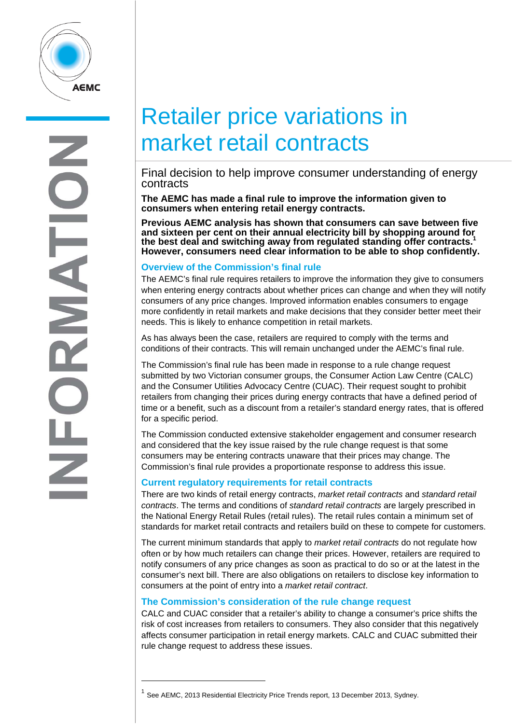

# Retailer price variations in market retail contracts

# Final decision to help improve consumer understanding of energy contracts

**The AEMC has made a final rule to improve the information given to consumers when entering retail energy contracts.** 

**Previous AEMC analysis has shown that consumers can save between five and sixteen per cent on their annual electricity bill by shopping around for the best deal and switching away from regulated standing offer contracts.1 However, consumers need clear information to be able to shop confidently.** 

#### **Overview of the Commission's final rule**

The AEMC's final rule requires retailers to improve the information they give to consumers when entering energy contracts about whether prices can change and when they will notify consumers of any price changes. Improved information enables consumers to engage more confidently in retail markets and make decisions that they consider better meet their needs. This is likely to enhance competition in retail markets.

As has always been the case, retailers are required to comply with the terms and conditions of their contracts. This will remain unchanged under the AEMC's final rule.

The Commission's final rule has been made in response to a rule change request submitted by two Victorian consumer groups, the Consumer Action Law Centre (CALC) and the Consumer Utilities Advocacy Centre (CUAC). Their request sought to prohibit retailers from changing their prices during energy contracts that have a defined period of time or a benefit, such as a discount from a retailer's standard energy rates, that is offered for a specific period.

The Commission conducted extensive stakeholder engagement and consumer research and considered that the key issue raised by the rule change request is that some consumers may be entering contracts unaware that their prices may change. The Commission's final rule provides a proportionate response to address this issue.

## **Current regulatory requirements for retail contracts**

There are two kinds of retail energy contracts, *market retail contracts* and *standard retail contracts*. The terms and conditions of *standard retail contracts* are largely prescribed in the National Energy Retail Rules (retail rules). The retail rules contain a minimum set of standards for market retail contracts and retailers build on these to compete for customers.

The current minimum standards that apply to *market retail contracts* do not regulate how often or by how much retailers can change their prices. However, retailers are required to notify consumers of any price changes as soon as practical to do so or at the latest in the consumer's next bill. There are also obligations on retailers to disclose key information to consumers at the point of entry into a *market retail contract*.

## **The Commission's consideration of the rule change request**

CALC and CUAC consider that a retailer's ability to change a consumer's price shifts the risk of cost increases from retailers to consumers. They also consider that this negatively affects consumer participation in retail energy markets. CALC and CUAC submitted their rule change request to address these issues.

 $\overline{a}$ 

 $1$  See AEMC, 2013 Residential Electricity Price Trends report, 13 December 2013, Sydney.